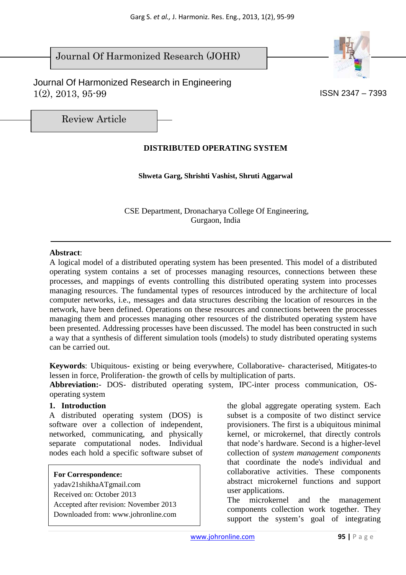# Journal Of Harmonized Research (JOHR)





Review Article

## **DISTRIBUTED OPERATING SYSTEM**

**Shweta Garg, Shrishti Vashist, Shruti Aggarwal** 

 CSE Department, Dronacharya College Of Engineering, Gurgaon, India

#### **Abstract**:

A logical model of a distributed operating system has been presented. This model of a distributed operating system contains a set of processes managing resources, connections between these processes, and mappings of events controlling this distributed operating system into processes managing resources. The fundamental types of resources introduced by the architecture of local computer networks, i.e., messages and data structures describing the location of resources in the network, have been defined. Operations on these resources and connections between the processes managing them and processes managing other resources of the distributed operating system have been presented. Addressing processes have been discussed. The model has been constructed in such a way that a synthesis of different simulation tools (models) to study distributed operating systems can be carried out.

**Keywords**: Ubiquitous- existing or being everywhere, Collaborative- characterised, Mitigates-to lessen in force, Proliferation- the growth of cells by multiplication of parts.

**Abbreviation:**- DOS- distributed operating system, IPC-inter process communication, OSoperating system

### **1. Introduction**

A distributed operating system (DOS) is software over a collection of independent, networked, communicating, and physically separate computational nodes. Individual nodes each hold a specific software subset of

**For Correspondence:**  yadav21shikhaATgmail.com Received on: October 2013 Accepted after revision: November 2013 Downloaded from: www.johronline.com the global aggregate operating system. Each subset is a composite of two distinct service provisioners. The first is a ubiquitous minimal kernel, or microkernel, that directly controls that node's hardware. Second is a higher-level collection of *system management components* that coordinate the node's individual and collaborative activities. These components abstract microkernel functions and support user applications.

The microkernel and the management components collection work together. They support the system's goal of integrating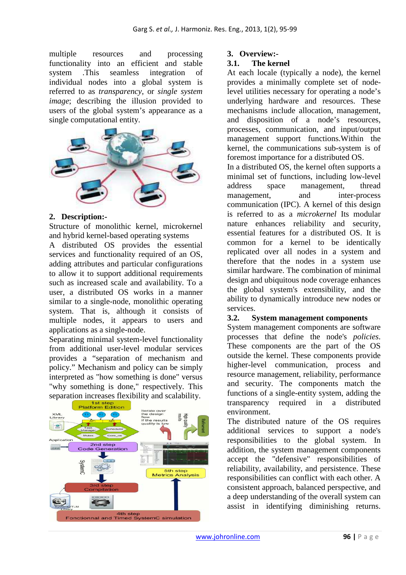multiple resources and processing functionality into an efficient and stable system .This seamless integration of individual nodes into a global system is referred to as *transparency*, or *single system image*; describing the illusion provided to users of the global system's appearance as a single computational entity.



#### **2. Description:-**

Structure of monolithic kernel, microkernel and hybrid kernel-based operating systems

A distributed OS provides the essential services and functionality required of an OS, adding attributes and particular configurations to allow it to support additional requirements such as increased scale and availability. To a user, a distributed OS works in a manner similar to a single-node, monolithic operating system. That is, although it consists of multiple nodes, it appears to users and applications as a single-node.

Separating minimal system-level functionality from additional user-level modular services provides a "separation of mechanism and policy." Mechanism and policy can be simply interpreted as "how something is done" versus "why something is done," respectively. This separation increases flexibility and scalability.



#### **3. Overview:-**

#### **3.1. The kernel**

At each locale (typically a node), the kernel provides a minimally complete set of nodelevel utilities necessary for operating a node's underlying hardware and resources. These mechanisms include allocation, management, and disposition of a node's resources, processes, communication, and input/output management support functions.Within the kernel, the communications sub-system is of foremost importance for a distributed OS.

In a distributed OS, the kernel often supports a minimal set of functions, including low-level address space management, thread management, and inter-process communication (IPC). A kernel of this design is referred to as a *microkernel* Its modular nature enhances reliability and security, essential features for a distributed OS. It is common for a kernel to be identically replicated over all nodes in a system and therefore that the nodes in a system use similar hardware. The combination of minimal design and ubiquitous node coverage enhances the global system's extensibility, and the ability to dynamically introduce new nodes or services.

#### **3.2. System management components**

System management components are software processes that define the node's *policies*. These components are the part of the OS outside the kernel. These components provide higher-level communication, process and resource management, reliability, performance and security. The components match the functions of a single-entity system, adding the transparency required in a distributed environment.

The distributed nature of the OS requires additional services to support a node's responsibilities to the global system. In addition, the system management components accept the "defensive" responsibilities of reliability, availability, and persistence. These responsibilities can conflict with each other. A consistent approach, balanced perspective, and a deep understanding of the overall system can assist in identifying diminishing returns.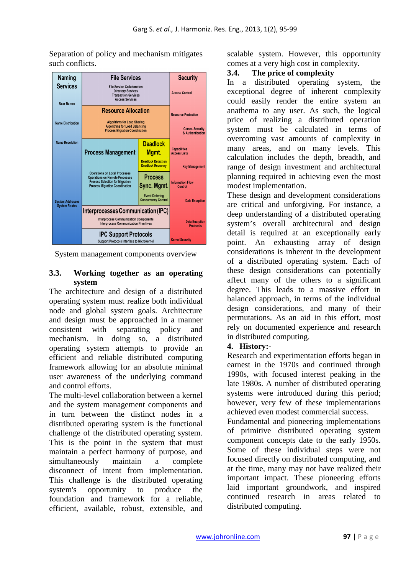**Security Naming File Services Services** File Service Collaboration **Directory Services**<br>Transaction Services Access Control Access Services **Liser Names Resource Allocation** Resource Protection Name Distribution Algorithms for Load Sharing **Algorithms for Load Balancing**<br>**Process Migration Coordination Comm. Security**<br>& Authentication **Name Resolution Deadlock Capabilities**<br>**Access Lists Process Management** Mgmt. **Deadlock Detection**<br>Deadlock Recovery **Key Managemen Operations on Local Processes Process Operations on Eccar Processes**<br> **Operations on Remote Processe**<br> **Process Selection for Migration<br>
Process Migration Coordination Information Flow**<br>Control Sync. Mgmt. **Event Ordering Concurrency Contro** System Addresses<br>System Routes **Data Eneration Interprocesses Communication (IPC) Interprocess Communication Components Data Encrotion Interprocess Communication Primitives IPC Support Protocols Kernel Security Support Protocols Interface to Microkernel** 

Separation of policy and mechanism mitigates such conflicts.

System management components overview

## **3.3. Working together as an operating system**

The architecture and design of a distributed operating system must realize both individual node and global system goals. Architecture and design must be approached in a manner consistent with separating policy and mechanism. In doing so, a distributed operating system attempts to provide an efficient and reliable distributed computing framework allowing for an absolute minimal user awareness of the underlying command and control efforts.

The multi-level collaboration between a kernel and the system management components and in turn between the distinct nodes in a distributed operating system is the functional challenge of the distributed operating system. This is the point in the system that must maintain a perfect harmony of purpose, and simultaneously maintain a complete disconnect of intent from implementation. This challenge is the distributed operating system's opportunity to produce the foundation and framework for a reliable, efficient, available, robust, extensible, and

scalable system. However, this opportunity comes at a very high cost in complexity.

### **3.4. The price of complexity**

In a distributed operating system, the exceptional degree of inherent complexity could easily render the entire system an anathema to any user. As such, the logical price of realizing a distributed operation system must be calculated in terms of overcoming vast amounts of complexity in many areas, and on many levels. This calculation includes the depth, breadth, and range of design investment and architectural planning required in achieving even the most modest implementation.

These design and development considerations are critical and unforgiving. For instance, a deep understanding of a distributed operating system's overall architectural and design detail is required at an exceptionally early point. An exhausting array of design considerations is inherent in the development of a distributed operating system. Each of these design considerations can potentially affect many of the others to a significant degree. This leads to a massive effort in balanced approach, in terms of the individual design considerations, and many of their permutations. As an aid in this effort, most rely on documented experience and research in distributed computing.

### **4. History:-**

Research and experimentation efforts began in earnest in the 1970s and continued through 1990s, with focused interest peaking in the late 1980s. A number of distributed operating systems were introduced during this period; however, very few of these implementations achieved even modest commercial success.

Fundamental and pioneering implementations of primitive distributed operating system component concepts date to the early 1950s. Some of these individual steps were not focused directly on distributed computing, and at the time, many may not have realized their important impact. These pioneering efforts laid important groundwork, and inspired continued research in areas related to distributed computing.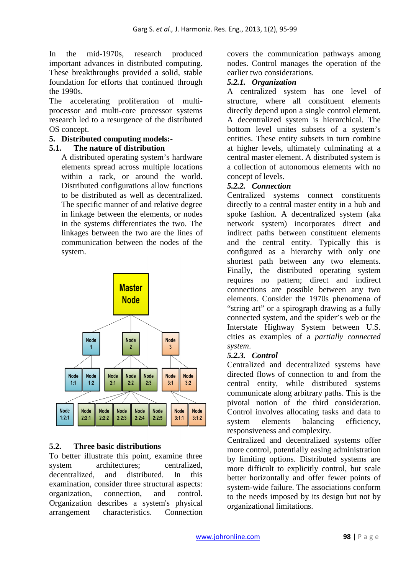In the mid-1970s, research produced important advances in distributed computing. These breakthroughs provided a solid, stable foundation for efforts that continued through the 1990s.

The accelerating proliferation of multiprocessor and multi-core processor systems research led to a resurgence of the distributed OS concept.

## **5. Distributed computing models:-**

### **5.1. The nature of distribution**

A distributed operating system's hardware elements spread across multiple locations within a rack, or around the world. Distributed configurations allow functions to be distributed as well as decentralized. The specific manner of and relative degree in linkage between the elements, or nodes in the systems differentiates the two. The linkages between the two are the lines of communication between the nodes of the system.



## **5.2. Three basic distributions**

To better illustrate this point, examine three system architectures; centralized,<br>decentralized, and distributed. In this decentralized, and distributed. In this examination, consider three structural aspects: organization, connection, and control. Organization describes a system's physical arrangement characteristics. Connection

covers the communication pathways among nodes. Control manages the operation of the earlier two considerations.

## *5.2.1. Organization*

A centralized system has one level of structure, where all constituent elements directly depend upon a single control element. A decentralized system is hierarchical. The bottom level unites subsets of a system's entities. These entity subsets in turn combine at higher levels, ultimately culminating at a central master element. A distributed system is a collection of autonomous elements with no concept of levels.

## *5.2.2. Connection*

Centralized systems connect constituents directly to a central master entity in a hub and spoke fashion. A decentralized system (aka network system) incorporates direct and indirect paths between constituent elements and the central entity. Typically this is configured as a hierarchy with only one shortest path between any two elements. Finally, the distributed operating system requires no pattern; direct and indirect connections are possible between any two elements. Consider the 1970s phenomena of "string art" or a spirograph drawing as a fully connected system, and the spider's web or the Interstate Highway System between U.S. cities as examples of a *partially connected system*.

### *5.2.3. Control*

Centralized and decentralized systems have directed flows of connection to and from the central entity, while distributed systems communicate along arbitrary paths. This is the pivotal notion of the third consideration. Control involves allocating tasks and data to system elements balancing efficiency, responsiveness and complexity.

Centralized and decentralized systems offer more control, potentially easing administration by limiting options. Distributed systems are more difficult to explicitly control, but scale better horizontally and offer fewer points of system-wide failure. The associations conform to the needs imposed by its design but not by organizational limitations.